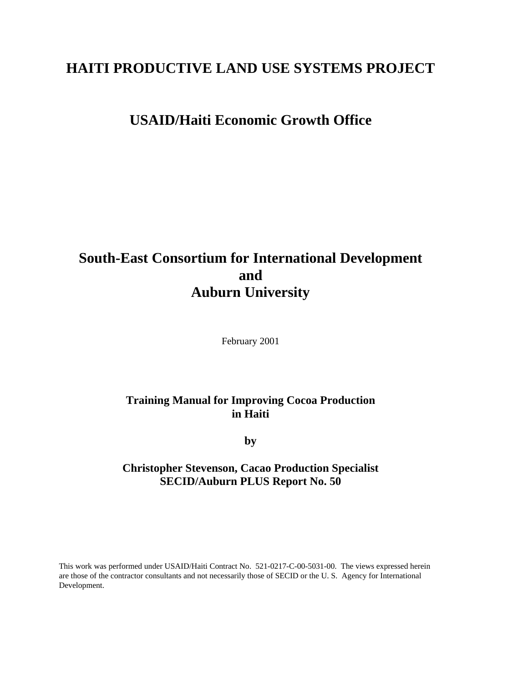# **HAITI PRODUCTIVE LAND USE SYSTEMS PROJECT**

# **USAID/Haiti Economic Growth Office**

# **South-East Consortium for International Development and Auburn University**

February 2001

# **Training Manual for Improving Cocoa Production in Haiti**

**by**

# **Christopher Stevenson, Cacao Production Specialist SECID/Auburn PLUS Report No. 50**

This work was performed under USAID/Haiti Contract No. 521-0217-C-00-5031-00. The views expressed herein are those of the contractor consultants and not necessarily those of SECID or the U. S. Agency for International Development.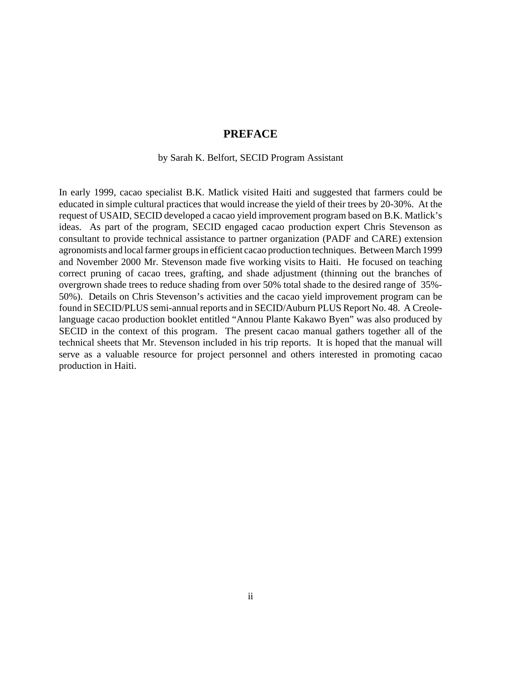## **PREFACE**

#### by Sarah K. Belfort, SECID Program Assistant

In early 1999, cacao specialist B.K. Matlick visited Haiti and suggested that farmers could be educated in simple cultural practices that would increase the yield of their trees by 20-30%. At the request of USAID, SECID developed a cacao yield improvement program based on B.K. Matlick's ideas. As part of the program, SECID engaged cacao production expert Chris Stevenson as consultant to provide technical assistance to partner organization (PADF and CARE) extension agronomists and local farmer groups in efficient cacao production techniques. Between March 1999 and November 2000 Mr. Stevenson made five working visits to Haiti. He focused on teaching correct pruning of cacao trees, grafting, and shade adjustment (thinning out the branches of overgrown shade trees to reduce shading from over 50% total shade to the desired range of 35%- 50%). Details on Chris Stevenson's activities and the cacao yield improvement program can be found in SECID/PLUS semi-annual reports and in SECID/Auburn PLUS Report No. 48. A Creolelanguage cacao production booklet entitled "Annou Plante Kakawo Byen" was also produced by SECID in the context of this program. The present cacao manual gathers together all of the technical sheets that Mr. Stevenson included in his trip reports. It is hoped that the manual will serve as a valuable resource for project personnel and others interested in promoting cacao production in Haiti.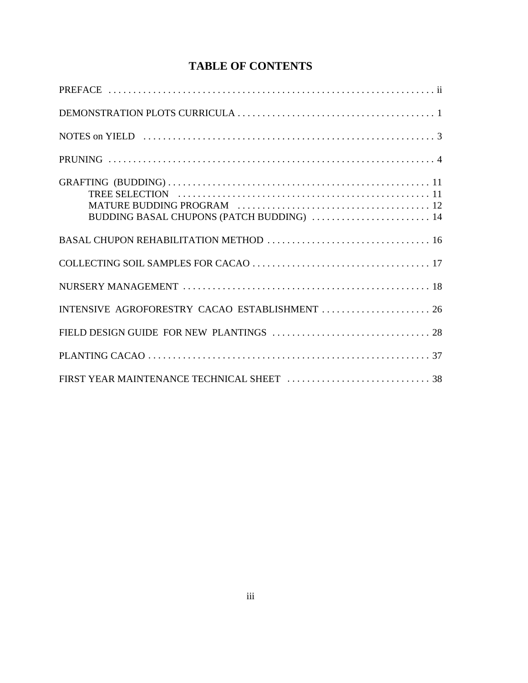# **TABLE OF CONTENTS**

| BUDDING BASAL CHUPONS (PATCH BUDDING)  14      |
|------------------------------------------------|
|                                                |
|                                                |
|                                                |
| INTENSIVE AGROFORESTRY CACAO ESTABLISHMENT  26 |
|                                                |
|                                                |
|                                                |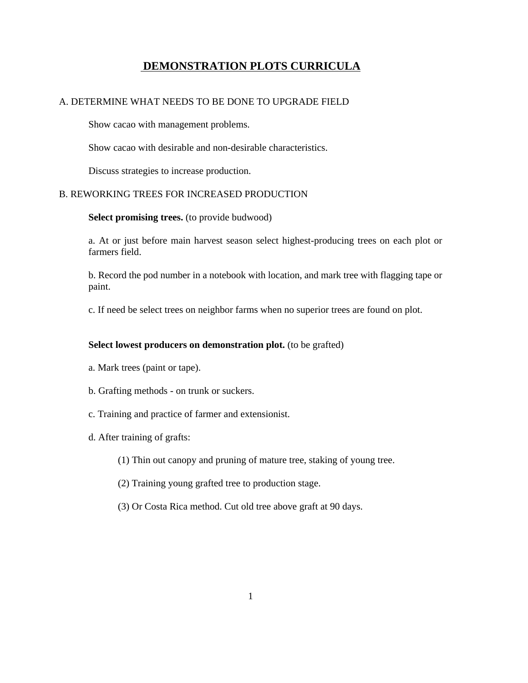# **DEMONSTRATION PLOTS CURRICULA**

### A. DETERMINE WHAT NEEDS TO BE DONE TO UPGRADE FIELD

Show cacao with management problems.

Show cacao with desirable and non-desirable characteristics.

Discuss strategies to increase production.

#### B. REWORKING TREES FOR INCREASED PRODUCTION

#### **Select promising trees.** (to provide budwood)

a. At or just before main harvest season select highest-producing trees on each plot or farmers field.

b. Record the pod number in a notebook with location, and mark tree with flagging tape or paint.

c. If need be select trees on neighbor farms when no superior trees are found on plot.

#### **Select lowest producers on demonstration plot.** (to be grafted)

- a. Mark trees (paint or tape).
- b. Grafting methods on trunk or suckers.
- c. Training and practice of farmer and extensionist.
- d. After training of grafts:
	- (1) Thin out canopy and pruning of mature tree, staking of young tree.
	- (2) Training young grafted tree to production stage.
	- (3) Or Costa Rica method. Cut old tree above graft at 90 days.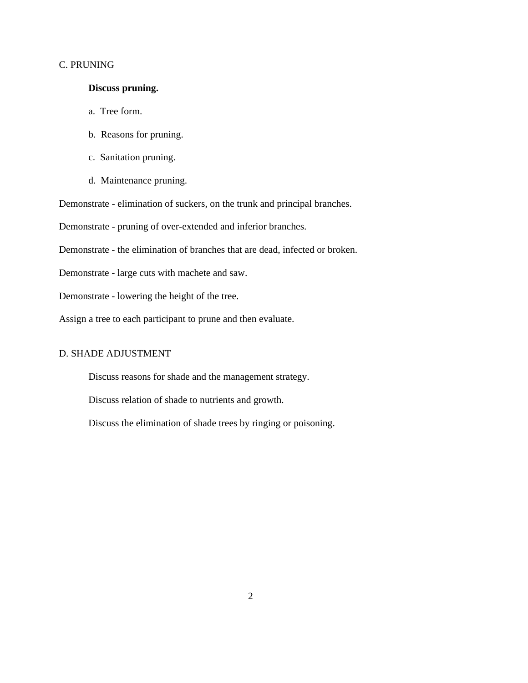#### C. PRUNING

### **Discuss pruning.**

- a. Tree form.
- b. Reasons for pruning.
- c. Sanitation pruning.
- d. Maintenance pruning.

Demonstrate - elimination of suckers, on the trunk and principal branches.

Demonstrate - pruning of over-extended and inferior branches.

Demonstrate - the elimination of branches that are dead, infected or broken.

Demonstrate - large cuts with machete and saw.

Demonstrate - lowering the height of the tree.

Assign a tree to each participant to prune and then evaluate.

#### D. SHADE ADJUSTMENT

Discuss reasons for shade and the management strategy.

Discuss relation of shade to nutrients and growth.

Discuss the elimination of shade trees by ringing or poisoning.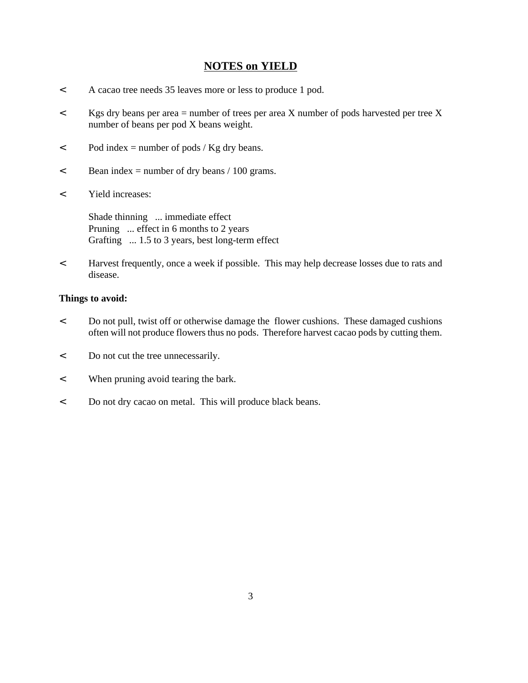# **NOTES on YIELD**

- < A cacao tree needs 35 leaves more or less to produce 1 pod.
- < Kgs dry beans per area = number of trees per area X number of pods harvested per tree X number of beans per pod X beans weight.
- $\epsilon$  Pod index = number of pods / Kg dry beans.
- $\epsilon$  Bean index = number of dry beans / 100 grams.
- < Yield increases:

 Shade thinning ... immediate effect Pruning ... effect in 6 months to 2 years Grafting ... 1.5 to 3 years, best long-term effect

< Harvest frequently, once a week if possible. This may help decrease losses due to rats and disease.

### **Things to avoid:**

- < Do not pull, twist off or otherwise damage the flower cushions. These damaged cushions often will not produce flowers thus no pods. Therefore harvest cacao pods by cutting them.
- < Do not cut the tree unnecessarily.
- < When pruning avoid tearing the bark.
- < Do not dry cacao on metal. This will produce black beans.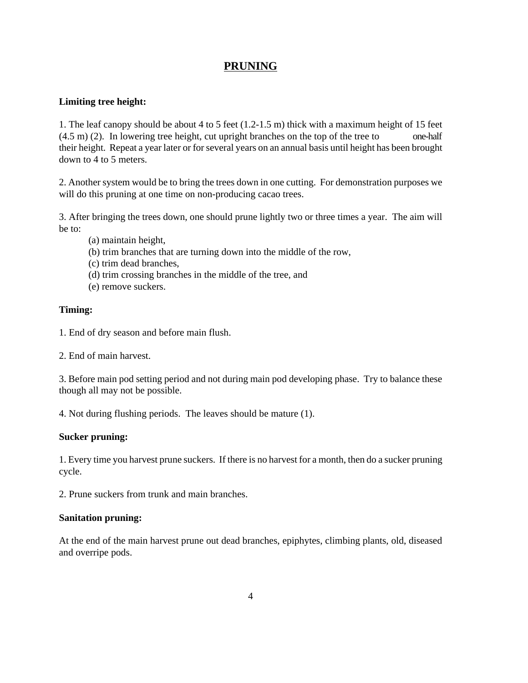# **PRUNING**

## **Limiting tree height:**

1. The leaf canopy should be about 4 to 5 feet (1.2-1.5 m) thick with a maximum height of 15 feet (4.5 m) (2). In lowering tree height, cut upright branches on the top of the tree to one-half their height. Repeat a year later or for several years on an annual basis until height has been brought down to 4 to 5 meters.

2. Another system would be to bring the trees down in one cutting. For demonstration purposes we will do this pruning at one time on non-producing cacao trees.

3. After bringing the trees down, one should prune lightly two or three times a year. The aim will be to:

- (a) maintain height,
- (b) trim branches that are turning down into the middle of the row,
- (c) trim dead branches,
- (d) trim crossing branches in the middle of the tree, and
- (e) remove suckers.

#### **Timing:**

- 1. End of dry season and before main flush.
- 2. End of main harvest.

3. Before main pod setting period and not during main pod developing phase. Try to balance these though all may not be possible.

4. Not during flushing periods. The leaves should be mature (1).

#### **Sucker pruning:**

1. Every time you harvest prune suckers. If there is no harvest for a month, then do a sucker pruning cycle.

2. Prune suckers from trunk and main branches.

#### **Sanitation pruning:**

At the end of the main harvest prune out dead branches, epiphytes, climbing plants, old, diseased and overripe pods.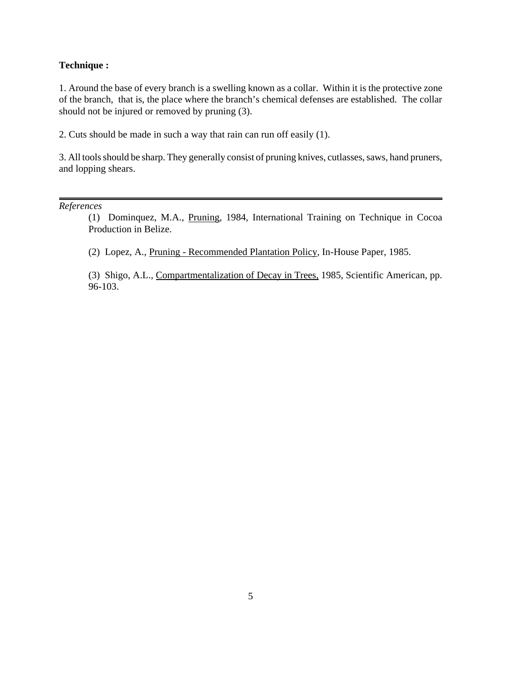#### **Technique :**

1. Around the base of every branch is a swelling known as a collar. Within it is the protective zone of the branch, that is, the place where the branch's chemical defenses are established. The collar should not be injured or removed by pruning (3).

2. Cuts should be made in such a way that rain can run off easily (1).

3. All tools should be sharp. They generally consist of pruning knives, cutlasses, saws, hand pruners, and lopping shears.

*References*

(1) Dominquez, M.A., Pruning, 1984, International Training on Technique in Cocoa Production in Belize.

(2) Lopez, A., Pruning - Recommended Plantation Policy, In-House Paper, 1985.

(3) Shigo, A.L., Compartmentalization of Decay in Trees, 1985, Scientific American, pp. 96-103.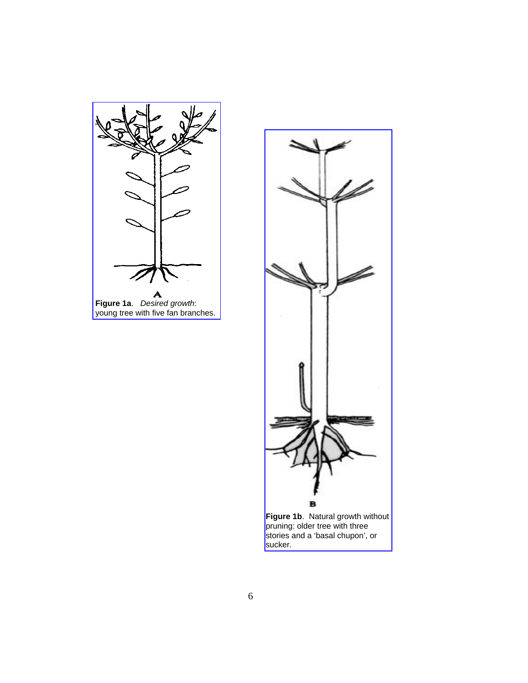

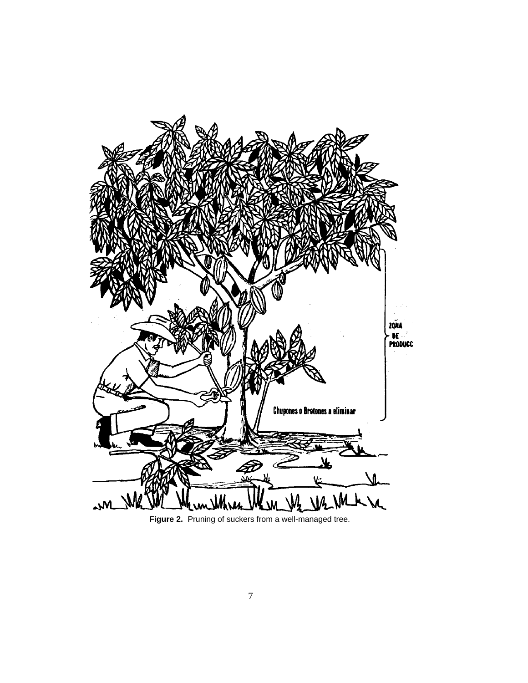

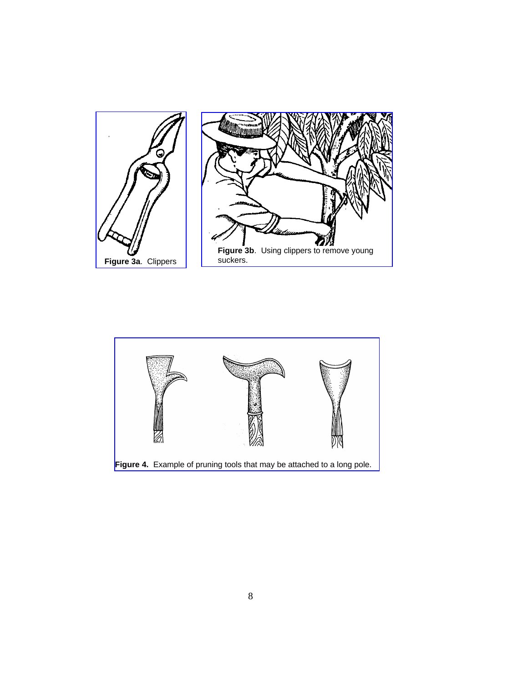

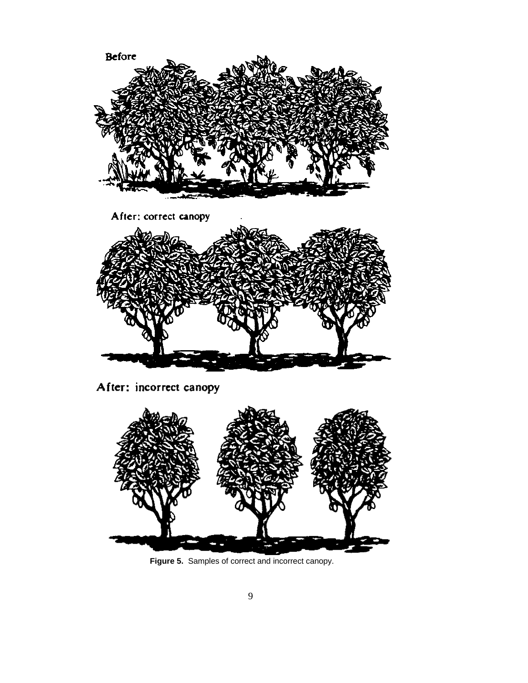

After: incorrect canopy



**Figure 5.** Samples of correct and incorrect canopy.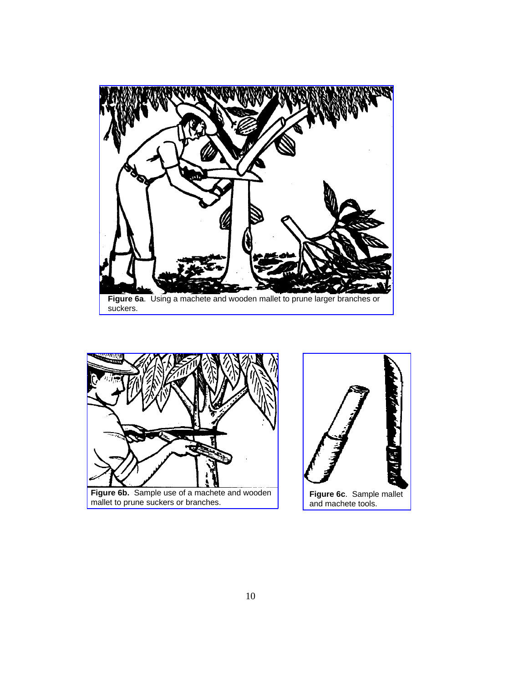



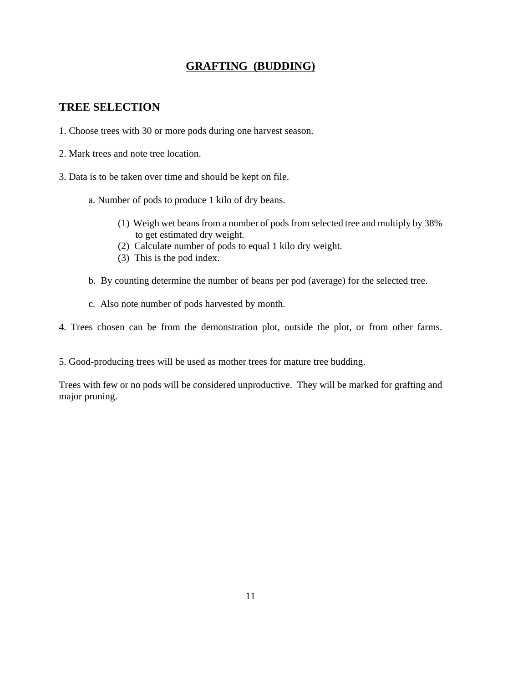# **GRAFTING (BUDDING)**

# **TREE SELECTION**

- 1. Choose trees with 30 or more pods during one harvest season.
- 2. Mark trees and note tree location.
- 3. Data is to be taken over time and should be kept on file.
	- a. Number of pods to produce 1 kilo of dry beans.
		- (1) Weigh wet beans from a number of pods from selected tree and multiply by 38% to get estimated dry weight.
		- (2) Calculate number of pods to equal 1 kilo dry weight.
		- (3) This is the pod index.
	- b. By counting determine the number of beans per pod (average) for the selected tree.
	- c. Also note number of pods harvested by month.

4. Trees chosen can be from the demonstration plot, outside the plot, or from other farms.

5. Good-producing trees will be used as mother trees for mature tree budding.

Trees with few or no pods will be considered unproductive. They will be marked for grafting and major pruning.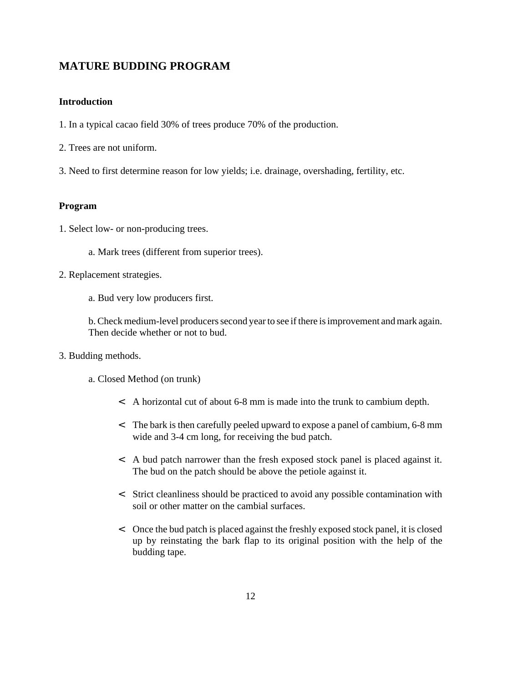# **MATURE BUDDING PROGRAM**

### **Introduction**

- 1. In a typical cacao field 30% of trees produce 70% of the production.
- 2. Trees are not uniform.
- 3. Need to first determine reason for low yields; i.e. drainage, overshading, fertility, etc.

#### **Program**

- 1. Select low- or non-producing trees.
	- a. Mark trees (different from superior trees).
- 2. Replacement strategies.
	- a. Bud very low producers first.
	- b. Check medium-level producers second year to see if there is improvement and mark again. Then decide whether or not to bud.
- 3. Budding methods.
	- a. Closed Method (on trunk)
		- < A horizontal cut of about 6-8 mm is made into the trunk to cambium depth.
		- < The bark is then carefully peeled upward to expose a panel of cambium, 6-8 mm wide and 3-4 cm long, for receiving the bud patch.
		- < A bud patch narrower than the fresh exposed stock panel is placed against it. The bud on the patch should be above the petiole against it.
		- < Strict cleanliness should be practiced to avoid any possible contamination with soil or other matter on the cambial surfaces.
		- < Once the bud patch is placed against the freshly exposed stock panel, it is closed up by reinstating the bark flap to its original position with the help of the budding tape.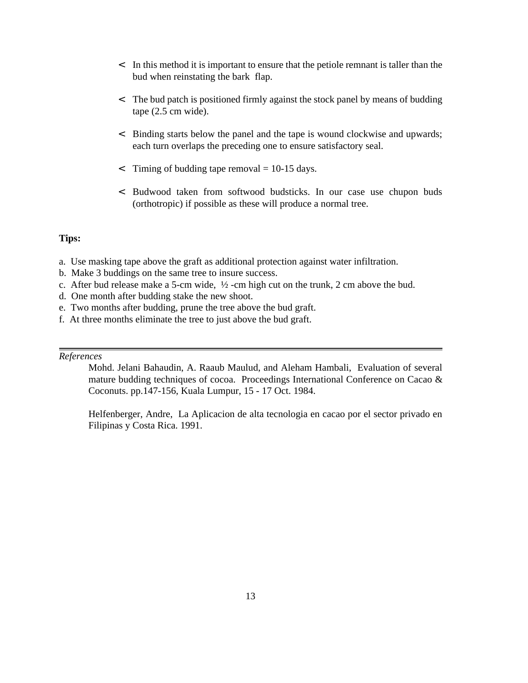- < In this method it is important to ensure that the petiole remnant is taller than the bud when reinstating the bark flap.
- < The bud patch is positioned firmly against the stock panel by means of budding tape (2.5 cm wide).
- < Binding starts below the panel and the tape is wound clockwise and upwards; each turn overlaps the preceding one to ensure satisfactory seal.
- $\le$  Timing of budding tape removal = 10-15 days.
- < Budwood taken from softwood budsticks. In our case use chupon buds (orthotropic) if possible as these will produce a normal tree.

#### **Tips:**

- a. Use masking tape above the graft as additional protection against water infiltration.
- b. Make 3 buddings on the same tree to insure success.
- c. After bud release make a 5-cm wide, ½ -cm high cut on the trunk, 2 cm above the bud.
- d. One month after budding stake the new shoot.
- e. Two months after budding, prune the tree above the bud graft.
- f. At three months eliminate the tree to just above the bud graft.

#### *References*

Mohd. Jelani Bahaudin, A. Raaub Maulud, and Aleham Hambali, Evaluation of several mature budding techniques of cocoa. Proceedings International Conference on Cacao & Coconuts. pp.147-156, Kuala Lumpur, 15 - 17 Oct. 1984.

Helfenberger, Andre, La Aplicacion de alta tecnologia en cacao por el sector privado en Filipinas y Costa Rica. 1991.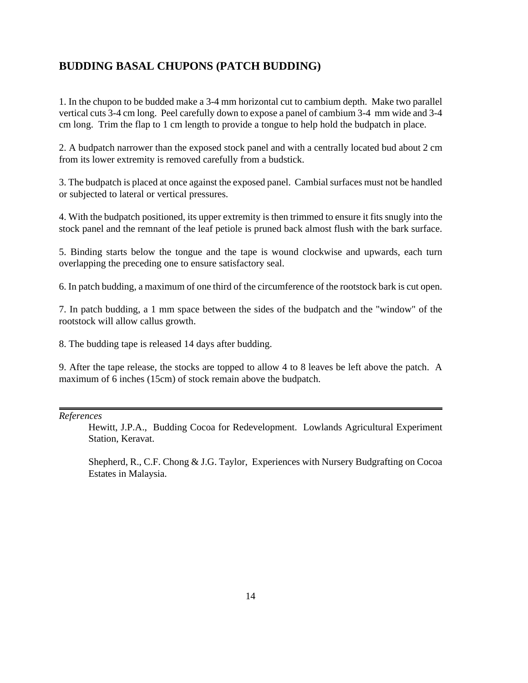# **BUDDING BASAL CHUPONS (PATCH BUDDING)**

1. In the chupon to be budded make a 3-4 mm horizontal cut to cambium depth. Make two parallel vertical cuts 3-4 cm long. Peel carefully down to expose a panel of cambium 3-4 mm wide and 3-4 cm long. Trim the flap to 1 cm length to provide a tongue to help hold the budpatch in place.

2. A budpatch narrower than the exposed stock panel and with a centrally located bud about 2 cm from its lower extremity is removed carefully from a budstick.

3. The budpatch is placed at once against the exposed panel. Cambial surfaces must not be handled or subjected to lateral or vertical pressures.

4. With the budpatch positioned, its upper extremity is then trimmed to ensure it fits snugly into the stock panel and the remnant of the leaf petiole is pruned back almost flush with the bark surface.

5. Binding starts below the tongue and the tape is wound clockwise and upwards, each turn overlapping the preceding one to ensure satisfactory seal.

6. In patch budding, a maximum of one third of the circumference of the rootstock bark is cut open.

7. In patch budding, a 1 mm space between the sides of the budpatch and the "window" of the rootstock will allow callus growth.

8. The budding tape is released 14 days after budding.

9. After the tape release, the stocks are topped to allow 4 to 8 leaves be left above the patch. A maximum of 6 inches (15cm) of stock remain above the budpatch.

*References*

Hewitt, J.P.A., Budding Cocoa for Redevelopment. Lowlands Agricultural Experiment Station, Keravat.

Shepherd, R., C.F. Chong & J.G. Taylor, Experiences with Nursery Budgrafting on Cocoa Estates in Malaysia.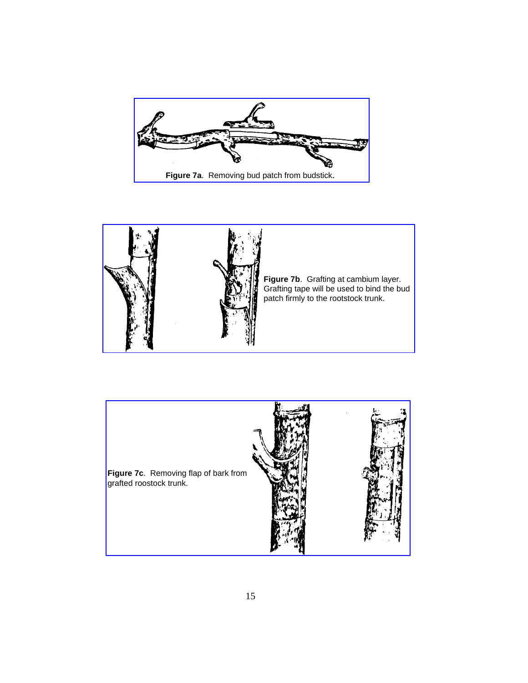



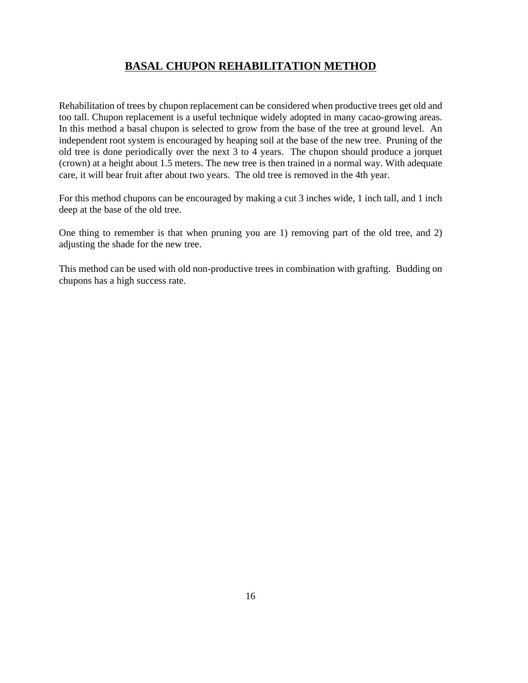# **BASAL CHUPON REHABILITATION METHOD**

Rehabilitation of trees by chupon replacement can be considered when productive trees get old and too tall. Chupon replacement is a useful technique widely adopted in many cacao-growing areas. In this method a basal chupon is selected to grow from the base of the tree at ground level. An independent root system is encouraged by heaping soil at the base of the new tree. Pruning of the old tree is done periodically over the next 3 to 4 years. The chupon should produce a jorquet (crown) at a height about 1.5 meters. The new tree is then trained in a normal way. With adequate care, it will bear fruit after about two years. The old tree is removed in the 4th year.

For this method chupons can be encouraged by making a cut 3 inches wide, 1 inch tall, and 1 inch deep at the base of the old tree.

One thing to remember is that when pruning you are 1) removing part of the old tree, and 2) adjusting the shade for the new tree.

This method can be used with old non-productive trees in combination with grafting. Budding on chupons has a high success rate.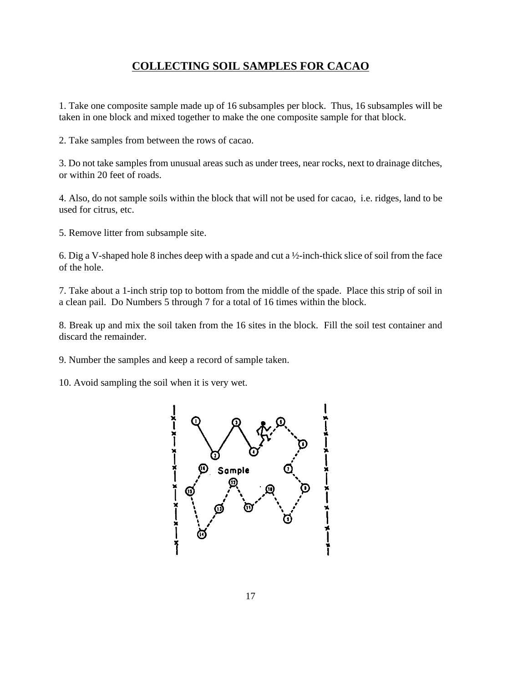# **COLLECTING SOIL SAMPLES FOR CACAO**

1. Take one composite sample made up of 16 subsamples per block. Thus, 16 subsamples will be taken in one block and mixed together to make the one composite sample for that block.

2. Take samples from between the rows of cacao.

3. Do not take samples from unusual areas such as under trees, near rocks, next to drainage ditches, or within 20 feet of roads.

4. Also, do not sample soils within the block that will not be used for cacao, i.e. ridges, land to be used for citrus, etc.

5. Remove litter from subsample site.

6. Dig a V-shaped hole 8 inches deep with a spade and cut a ½-inch-thick slice of soil from the face of the hole.

7. Take about a 1-inch strip top to bottom from the middle of the spade. Place this strip of soil in a clean pail. Do Numbers 5 through 7 for a total of 16 times within the block.

8. Break up and mix the soil taken from the 16 sites in the block. Fill the soil test container and discard the remainder.

9. Number the samples and keep a record of sample taken.

10. Avoid sampling the soil when it is very wet.

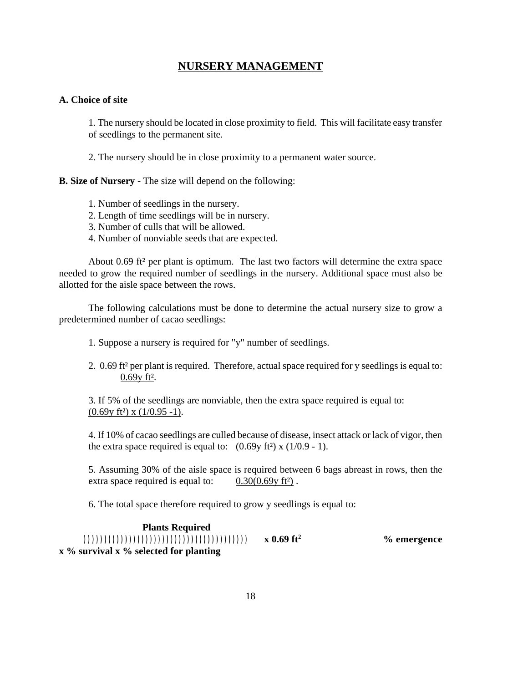# **NURSERY MANAGEMENT**

### **A. Choice of site**

1. The nursery should be located in close proximity to field. This will facilitate easy transfer of seedlings to the permanent site.

2. The nursery should be in close proximity to a permanent water source.

**B. Size of Nursery** - The size will depend on the following:

- 1. Number of seedlings in the nursery.
- 2. Length of time seedlings will be in nursery.
- 3. Number of culls that will be allowed.
- 4. Number of nonviable seeds that are expected.

About 0.69 ft² per plant is optimum. The last two factors will determine the extra space needed to grow the required number of seedlings in the nursery. Additional space must also be allotted for the aisle space between the rows.

The following calculations must be done to determine the actual nursery size to grow a predetermined number of cacao seedlings:

- 1. Suppose a nursery is required for "y" number of seedlings.
- 2. 0.69 ft² per plant is required. Therefore, actual space required for y seedlings is equal to: 0.69y ft².

3. If 5% of the seedlings are nonviable, then the extra space required is equal to:  $(0.69y$  ft<sup>2</sup>) x  $(1/0.95 -1)$ .

4. If 10% of cacao seedlings are culled because of disease, insect attack or lack of vigor, then the extra space required is equal to:  $(0.69y ft^2)$  x  $(1/0.9 - 1)$ .

5. Assuming 30% of the aisle space is required between 6 bags abreast in rows, then the extra space required is equal to:  $0.30(0.69y \text{ ft}^2)$ .

6. The total space therefore required to grow y seedlings is equal to:

 **Plants Required )))))))))))))))))))))))))))))))))))))))) x 0.69 ft<sup>2</sup> % emergence x % survival x % selected for planting**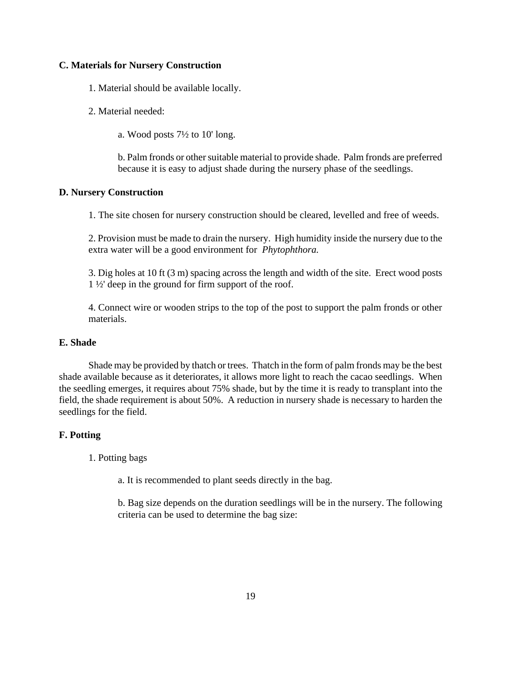#### **C. Materials for Nursery Construction**

1. Material should be available locally.

2. Material needed:

a. Wood posts 7½ to 10' long.

b. Palm fronds or other suitable material to provide shade. Palm fronds are preferred because it is easy to adjust shade during the nursery phase of the seedlings.

#### **D. Nursery Construction**

1. The site chosen for nursery construction should be cleared, levelled and free of weeds.

2. Provision must be made to drain the nursery. High humidity inside the nursery due to the extra water will be a good environment for *Phytophthora.*

3. Dig holes at 10 ft (3 m) spacing across the length and width of the site. Erect wood posts 1 ½' deep in the ground for firm support of the roof.

4. Connect wire or wooden strips to the top of the post to support the palm fronds or other materials.

### **E. Shade**

Shade may be provided by thatch or trees. Thatch in the form of palm fronds may be the best shade available because as it deteriorates, it allows more light to reach the cacao seedlings. When the seedling emerges, it requires about 75% shade, but by the time it is ready to transplant into the field, the shade requirement is about 50%. A reduction in nursery shade is necessary to harden the seedlings for the field.

#### **F. Potting**

1. Potting bags

a. It is recommended to plant seeds directly in the bag.

b. Bag size depends on the duration seedlings will be in the nursery. The following criteria can be used to determine the bag size: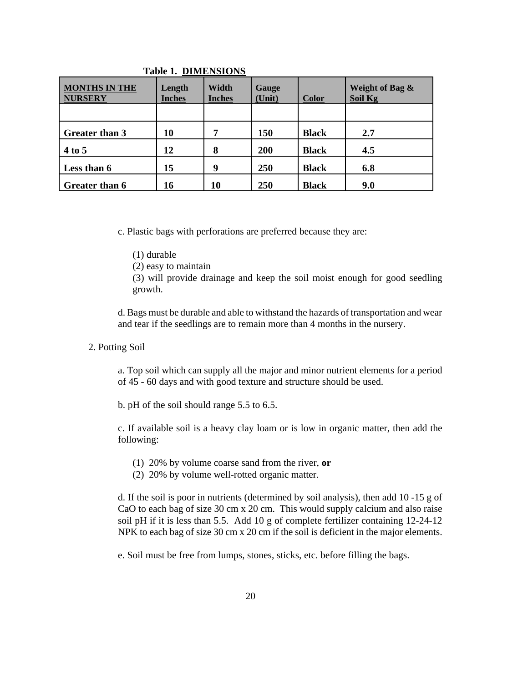| <b>MONTHS IN THE</b><br><b>NURSERY</b> | Length<br><b>Inches</b> | Width<br><b>Inches</b> | Gauge<br>(Unit) | <b>Color</b> | Weight of Bag &<br>Soil Kg |
|----------------------------------------|-------------------------|------------------------|-----------------|--------------|----------------------------|
|                                        |                         |                        |                 |              |                            |
| <b>Greater than 3</b>                  | 10                      | 7                      | 150             | <b>Black</b> | 2.7                        |
| 4 to 5                                 | 12                      | 8                      | 200             | <b>Black</b> | 4.5                        |
| Less than 6                            | 15                      | 9                      | <b>250</b>      | <b>Black</b> | 6.8                        |
| <b>Greater than 6</b>                  | 16                      | 10                     | 250             | <b>Black</b> | 9.0                        |

#### **Table 1. DIMENSIONS**

c. Plastic bags with perforations are preferred because they are:

(1) durable

(2) easy to maintain

(3) will provide drainage and keep the soil moist enough for good seedling growth.

d. Bags must be durable and able to withstand the hazards of transportation and wear and tear if the seedlings are to remain more than 4 months in the nursery.

2. Potting Soil

a. Top soil which can supply all the major and minor nutrient elements for a period of 45 - 60 days and with good texture and structure should be used.

b. pH of the soil should range 5.5 to 6.5.

c. If available soil is a heavy clay loam or is low in organic matter, then add the following:

- (1) 20% by volume coarse sand from the river, **or**
- (2) 20% by volume well-rotted organic matter.

d. If the soil is poor in nutrients (determined by soil analysis), then add 10 -15 g of CaO to each bag of size 30 cm x 20 cm. This would supply calcium and also raise soil pH if it is less than 5.5. Add 10 g of complete fertilizer containing 12-24-12 NPK to each bag of size 30 cm x 20 cm if the soil is deficient in the major elements.

e. Soil must be free from lumps, stones, sticks, etc. before filling the bags.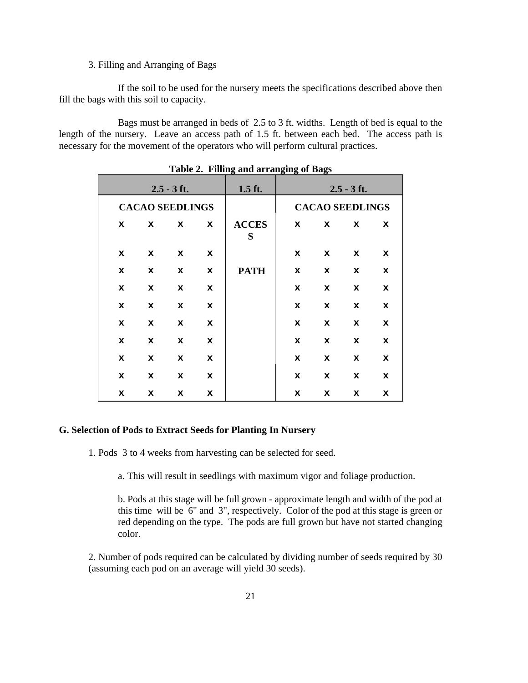#### 3. Filling and Arranging of Bags

If the soil to be used for the nursery meets the specifications described above then fill the bags with this soil to capacity.

Bags must be arranged in beds of 2.5 to 3 ft. widths. Length of bed is equal to the length of the nursery. Leave an access path of 1.5 ft. between each bed. The access path is necessary for the movement of the operators who will perform cultural practices.

| Table 2. Thing and arranging of Dags |                        |               |             |                   |             |                        |               |             |  |  |
|--------------------------------------|------------------------|---------------|-------------|-------------------|-------------|------------------------|---------------|-------------|--|--|
|                                      |                        | $2.5 - 3$ ft. |             | $1.5$ ft.         |             |                        | $2.5 - 3$ ft. |             |  |  |
|                                      | <b>CACAO SEEDLINGS</b> |               |             |                   |             | <b>CACAO SEEDLINGS</b> |               |             |  |  |
| $\mathbf x$                          | $\mathbf{x}$           | $\mathbf{x}$  | $\mathbf x$ | <b>ACCES</b><br>S | $\mathbf x$ | $\mathbf{x}$           | x             | $\mathbf x$ |  |  |
| x                                    | $\mathbf x$            | $\mathbf x$   | x           |                   | x           | x                      | $\mathbf x$   | $\mathbf x$ |  |  |
| $\mathbf x$                          | $\mathbf x$            | x             | x           | <b>PATH</b>       | x           | $\mathbf x$            | x             | x           |  |  |
| $\mathbf x$                          | x                      | x             | x           |                   | x           | $\mathbf x$            | $\mathbf{x}$  | $\mathbf x$ |  |  |
| x                                    | $\mathbf x$            | x             | x           |                   | x           | $\mathbf x$            | x             | $\mathbf x$ |  |  |
| $\mathbf x$                          | x                      | x             | x           |                   | x           | $\mathbf x$            | x             | x           |  |  |
| $\mathbf x$                          | x                      | x             | x           |                   | $\mathbf x$ | $\mathbf x$            | x             | x           |  |  |
| $\mathbf x$                          | $\mathbf{x}$           | x             | x           |                   | x           | x                      | x             | $\mathbf x$ |  |  |
| $\mathbf x$                          | $\mathbf x$            | $\mathbf x$   | x           |                   | x           | x                      | $\mathbf x$   | x           |  |  |
| x                                    | x                      | x             | x           |                   | x           | x                      | x             | x           |  |  |

|  |  | Table 2. Filling and arranging of Bags |  |
|--|--|----------------------------------------|--|
|--|--|----------------------------------------|--|

#### **G. Selection of Pods to Extract Seeds for Planting In Nursery**

1. Pods 3 to 4 weeks from harvesting can be selected for seed.

a. This will result in seedlings with maximum vigor and foliage production.

b. Pods at this stage will be full grown - approximate length and width of the pod at this time will be 6" and 3", respectively. Color of the pod at this stage is green or red depending on the type. The pods are full grown but have not started changing color.

2. Number of pods required can be calculated by dividing number of seeds required by 30 (assuming each pod on an average will yield 30 seeds).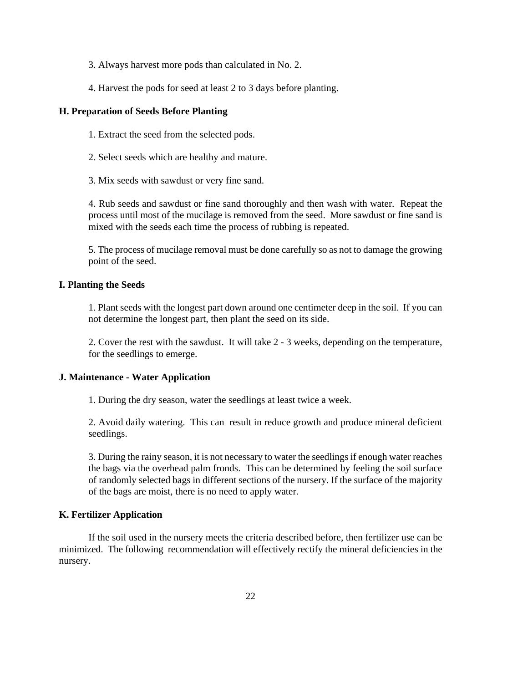- 3. Always harvest more pods than calculated in No. 2.
- 4. Harvest the pods for seed at least 2 to 3 days before planting.

#### **H. Preparation of Seeds Before Planting**

- 1. Extract the seed from the selected pods.
- 2. Select seeds which are healthy and mature.
- 3. Mix seeds with sawdust or very fine sand.

4. Rub seeds and sawdust or fine sand thoroughly and then wash with water. Repeat the process until most of the mucilage is removed from the seed. More sawdust or fine sand is mixed with the seeds each time the process of rubbing is repeated.

5. The process of mucilage removal must be done carefully so as not to damage the growing point of the seed.

#### **I. Planting the Seeds**

1. Plant seeds with the longest part down around one centimeter deep in the soil. If you can not determine the longest part, then plant the seed on its side.

2. Cover the rest with the sawdust. It will take 2 - 3 weeks, depending on the temperature, for the seedlings to emerge.

#### **J. Maintenance - Water Application**

1. During the dry season, water the seedlings at least twice a week.

2. Avoid daily watering. This can result in reduce growth and produce mineral deficient seedlings.

3. During the rainy season, it is not necessary to water the seedlings if enough water reaches the bags via the overhead palm fronds. This can be determined by feeling the soil surface of randomly selected bags in different sections of the nursery. If the surface of the majority of the bags are moist, there is no need to apply water.

#### **K. Fertilizer Application**

If the soil used in the nursery meets the criteria described before, then fertilizer use can be minimized. The following recommendation will effectively rectify the mineral deficiencies in the nursery.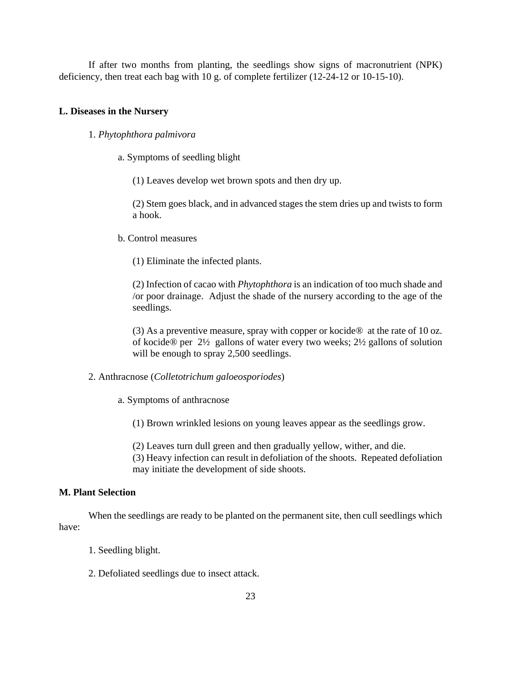If after two months from planting, the seedlings show signs of macronutrient (NPK) deficiency, then treat each bag with 10 g. of complete fertilizer (12-24-12 or 10-15-10).

#### **L. Diseases in the Nursery**

#### 1. *Phytophthora palmivora*

a. Symptoms of seedling blight

(1) Leaves develop wet brown spots and then dry up.

(2) Stem goes black, and in advanced stages the stem dries up and twists to form a hook.

#### b. Control measures

(1) Eliminate the infected plants.

(2) Infection of cacao with *Phytophthora* is an indication of too much shade and /or poor drainage. Adjust the shade of the nursery according to the age of the seedlings.

(3) As a preventive measure, spray with copper or kocide® at the rate of 10 oz. of kocide® per 2½ gallons of water every two weeks; 2½ gallons of solution will be enough to spray 2,500 seedlings.

#### 2. Anthracnose (*Colletotrichum galoeosporiodes*)

a. Symptoms of anthracnose

(1) Brown wrinkled lesions on young leaves appear as the seedlings grow.

(2) Leaves turn dull green and then gradually yellow, wither, and die.

(3) Heavy infection can result in defoliation of the shoots. Repeated defoliation may initiate the development of side shoots.

#### **M. Plant Selection**

When the seedlings are ready to be planted on the permanent site, then cull seedlings which have:

- 1. Seedling blight.
- 2. Defoliated seedlings due to insect attack.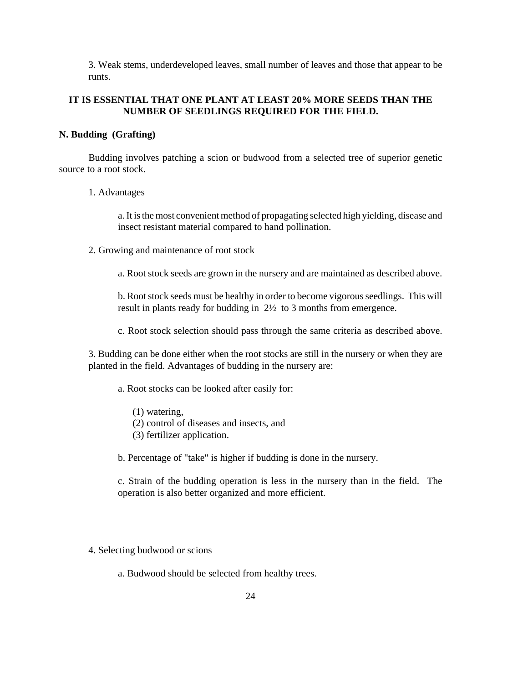3. Weak stems, underdeveloped leaves, small number of leaves and those that appear to be runts.

### **IT IS ESSENTIAL THAT ONE PLANT AT LEAST 20% MORE SEEDS THAN THE NUMBER OF SEEDLINGS REQUIRED FOR THE FIELD.**

#### **N. Budding (Grafting)**

Budding involves patching a scion or budwood from a selected tree of superior genetic source to a root stock.

#### 1. Advantages

a. It is the most convenient method of propagating selected high yielding, disease and insect resistant material compared to hand pollination.

- 2. Growing and maintenance of root stock
	- a. Root stock seeds are grown in the nursery and are maintained as described above.

b. Root stock seeds must be healthy in order to become vigorous seedlings. This will result in plants ready for budding in 2½ to 3 months from emergence.

c. Root stock selection should pass through the same criteria as described above.

3. Budding can be done either when the root stocks are still in the nursery or when they are planted in the field. Advantages of budding in the nursery are:

a. Root stocks can be looked after easily for:

- (1) watering,
- (2) control of diseases and insects, and
- (3) fertilizer application.

b. Percentage of "take" is higher if budding is done in the nursery.

c. Strain of the budding operation is less in the nursery than in the field. The operation is also better organized and more efficient.

4. Selecting budwood or scions

a. Budwood should be selected from healthy trees.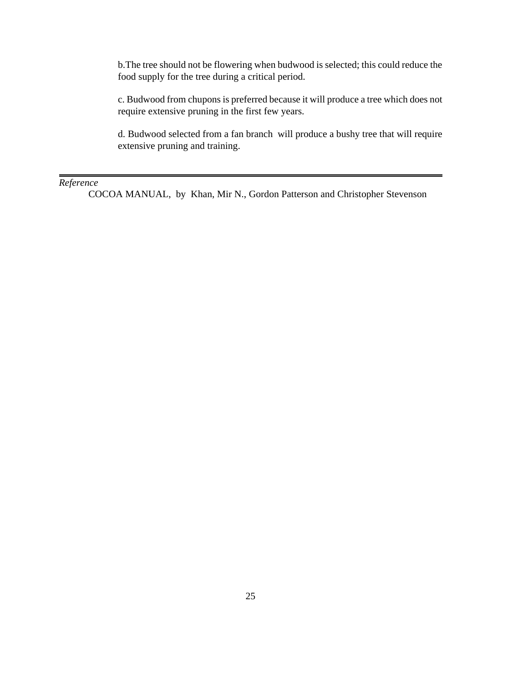b.The tree should not be flowering when budwood is selected; this could reduce the food supply for the tree during a critical period.

c. Budwood from chupons is preferred because it will produce a tree which does not require extensive pruning in the first few years.

d. Budwood selected from a fan branch will produce a bushy tree that will require extensive pruning and training.

#### *Reference*

COCOA MANUAL, by Khan, Mir N., Gordon Patterson and Christopher Stevenson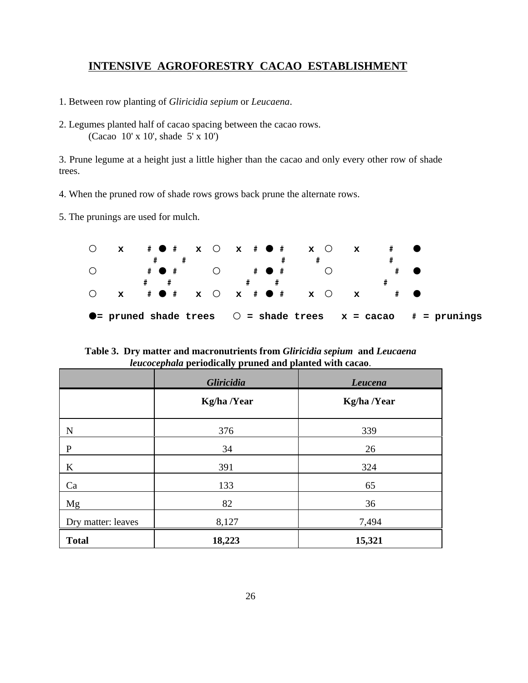# **INTENSIVE AGROFORESTRY CACAO ESTABLISHMENT**

- 1. Between row planting of *Gliricidia sepium* or *Leucaena*.
- 2. Legumes planted half of cacao spacing between the cacao rows. (Cacao 10' x 10', shade 5' x 10')

3. Prune legume at a height just a little higher than the cacao and only every other row of shade trees.

- 4. When the pruned row of shade rows grows back prune the alternate rows.
- 5. The prunings are used for mulch.



**Table 3. Dry matter and macronutrients from** *Gliricidia sepium* **and** *Leucaena leucocephala* **periodically pruned and planted with cacao**.

|                    | Gliricidia  | Leucena     |
|--------------------|-------------|-------------|
|                    | Kg/ha /Year | Kg/ha /Year |
| N                  | 376         | 339         |
| $\mathbf{P}$       | 34          | 26          |
| K                  | 391         | 324         |
| Ca                 | 133         | 65          |
| Mg                 | 82          | 36          |
| Dry matter: leaves | 8,127       | 7,494       |
| <b>Total</b>       | 18,223      | 15,321      |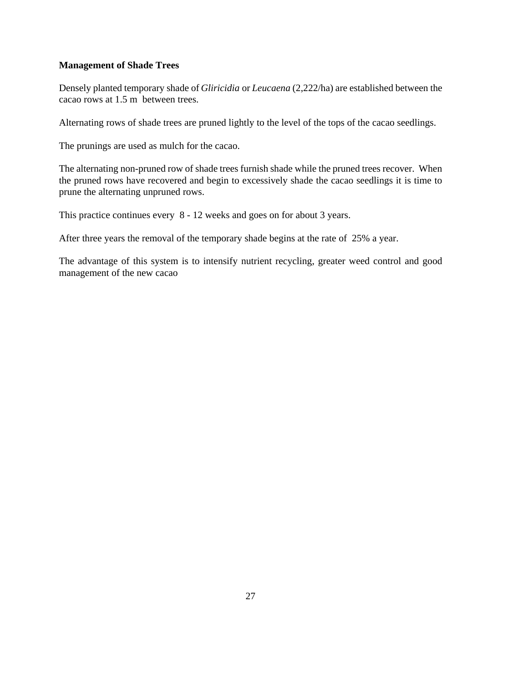#### **Management of Shade Trees**

Densely planted temporary shade of *Gliricidia* or *Leucaena* (2,222/ha) are established between the cacao rows at 1.5 m between trees.

Alternating rows of shade trees are pruned lightly to the level of the tops of the cacao seedlings.

The prunings are used as mulch for the cacao.

The alternating non-pruned row of shade trees furnish shade while the pruned trees recover. When the pruned rows have recovered and begin to excessively shade the cacao seedlings it is time to prune the alternating unpruned rows.

This practice continues every 8 - 12 weeks and goes on for about 3 years.

After three years the removal of the temporary shade begins at the rate of 25% a year.

The advantage of this system is to intensify nutrient recycling, greater weed control and good management of the new cacao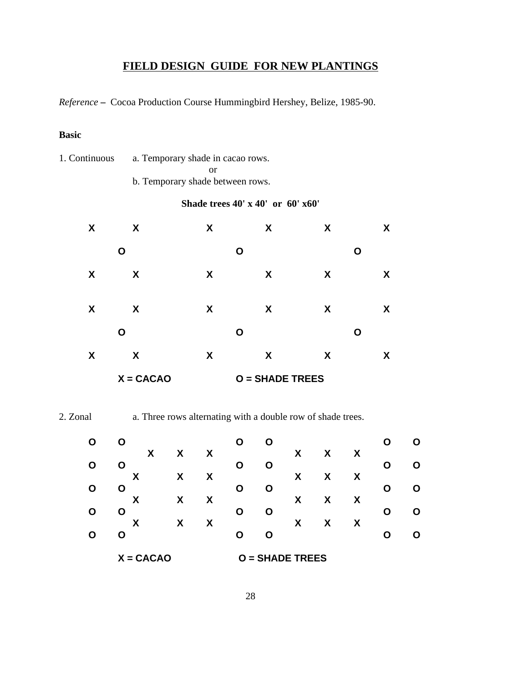# **FIELD DESIGN GUIDE FOR NEW PLANTINGS**

*Reference* **–** Cocoa Production Course Hummingbird Hershey, Belize, 1985-90.

### **Basic**

1. Continuous a. Temporary shade in cacao rows. or

b. Temporary shade between rows.

### **Shade trees 40' x 40' or 60' x60'**

|   | $X = CACAO$ |   | <b>O</b> = SHADE TREES |   |   |
|---|-------------|---|------------------------|---|---|
| X | X           | X | X                      | X | X |
|   | O           |   | Ο                      |   | Ο |
| X | X           | X | X                      | X | X |
| X | X           | X | X                      | X | X |
|   | O           |   | O                      |   | O |
| X | X           | X | X                      | X | X |

2. Zonal a. Three rows alternating with a double row of shade trees.

| O | O           |   |   | O | O             |   |   |   |   | О |
|---|-------------|---|---|---|---------------|---|---|---|---|---|
|   | X           | X | X |   |               | X | X | X |   |   |
| O | O           |   |   | O | O             |   |   |   | O | O |
|   | X           | X | X |   |               | X | X | X |   |   |
| O | O           |   |   | O | O             |   |   |   | Ω | O |
|   | X           | X | X |   |               | X | X | X |   |   |
| O | O           |   |   | O | O             |   |   |   | O | О |
| O | X           | X | χ | O | O             | X | X | X |   | O |
|   | O           |   |   |   |               |   |   |   |   |   |
|   | $X = CACAO$ |   |   | O | = SHADE TREES |   |   |   |   |   |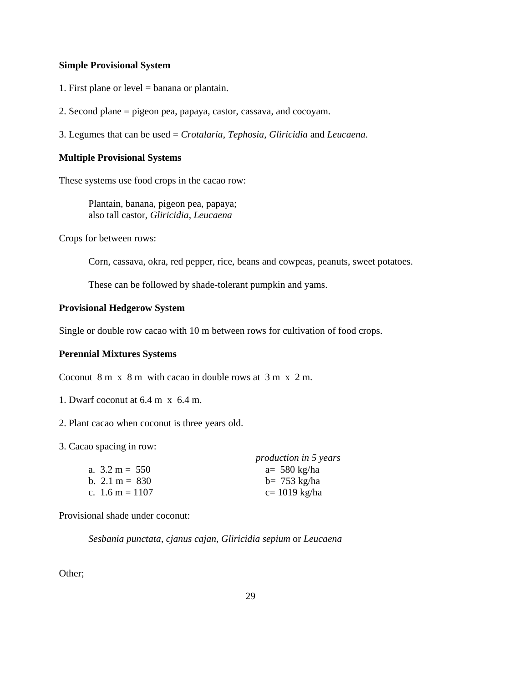#### **Simple Provisional System**

- 1. First plane or level = banana or plantain.
- 2. Second plane = pigeon pea, papaya, castor, cassava, and cocoyam.
- 3. Legumes that can be used = *Crotalaria*, *Tephosia*, *Gliricidia* and *Leucaena*.

#### **Multiple Provisional Systems**

These systems use food crops in the cacao row:

Plantain, banana, pigeon pea, papaya; also tall castor, *Gliricidia*, *Leucaena*

Crops for between rows:

Corn, cassava, okra, red pepper, rice, beans and cowpeas, peanuts, sweet potatoes.

These can be followed by shade-tolerant pumpkin and yams.

#### **Provisional Hedgerow System**

Single or double row cacao with 10 m between rows for cultivation of food crops.

#### **Perennial Mixtures Systems**

Coconut 8 m x 8 m with cacao in double rows at 3 m x 2 m.

- 1. Dwarf coconut at 6.4 m x 6.4 m.
- 2. Plant cacao when coconut is three years old.

3. Cacao spacing in row:

|                           | production in 5 years |
|---------------------------|-----------------------|
| a. $3.2 \text{ m} = 550$  | $a=580$ kg/ha         |
| b. $2.1 \text{ m} = 830$  | $b = 753$ kg/ha       |
| c. $1.6 \text{ m} = 1107$ | $c = 1019$ kg/ha      |

Provisional shade under coconut:

*Sesbania punctata*, *cjanus cajan*, *Gliricidia sepium* or *Leucaena*

Other;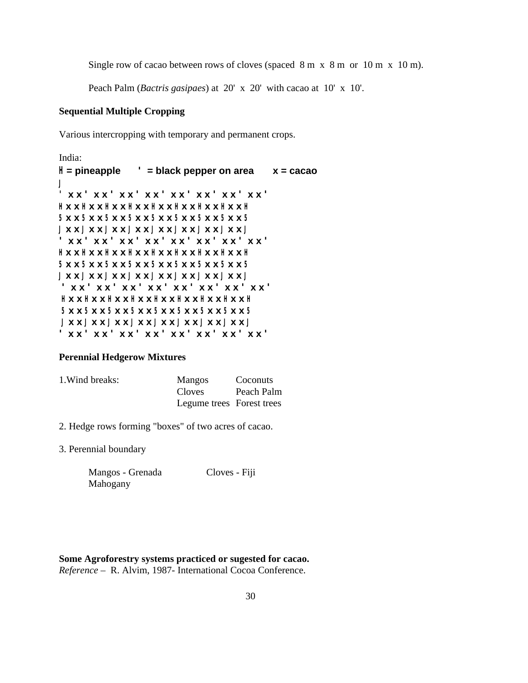Single row of cacao between rows of cloves (spaced 8 m x 8 m or 10 m x 10 m).

Peach Palm (*Bactris gasipaes*) at 20' x 20' with cacao at 10' x 10'.

#### **Sequential Multiple Cropping**

Various intercropping with temporary and permanent crops.

```
India: 
H = pineapple ' = black pepper on area x = cacao 
J
' x x ' x x ' x x ' x x ' x x ' x x ' x x ' x x ' 
H x x H x x H x x H x x H x x H x x H x x H x x H 
5 x x 5 x x 5 x x 5 x x 5 x x 5 x x 5 x x 5 x x 5 
J x x J x x J x x J x x J x x J x x J x x J x x J 
' x x ' x x ' x x ' x x ' x x ' x x ' x x ' x x ' 
H x x H x x H x x H x x H x x H x x H x x H x x H 
5 x x 5 x x 5 x x 5 x x 5 x x 5 x x 5 x x 5 x x 5 
J x x J x x J x x J x x J x x J x x J x x J x x J 
' x x ' x x ' x x ' x x ' x x ' x x ' x x ' x x ' 
H x x H x x H x x H x x H x x H x x H x x H x x H 
5 x x 5 x x 5 x x 5 x x 5 x x 5 x x 5 x x 5 x x 5 
J x x J x x J x x J x x J x x J x x J x x J x x J 
' x x ' x x ' x x ' x x ' x x ' x x ' x x ' x x '
```
#### **Perennial Hedgerow Mixtures**

| 1. Wind breaks: | <b>Mangos</b>             | Coconuts   |
|-----------------|---------------------------|------------|
|                 | <b>Cloves</b>             | Peach Palm |
|                 | Legume trees Forest trees |            |

- 2. Hedge rows forming "boxes" of two acres of cacao.
- 3. Perennial boundary

| Mangos - Grenada | Cloves - Fiji |
|------------------|---------------|
| Mahogany         |               |

#### **Some Agroforestry systems practiced or sugested for cacao.** *Reference* – R. Alvim, 1987- International Cocoa Conference.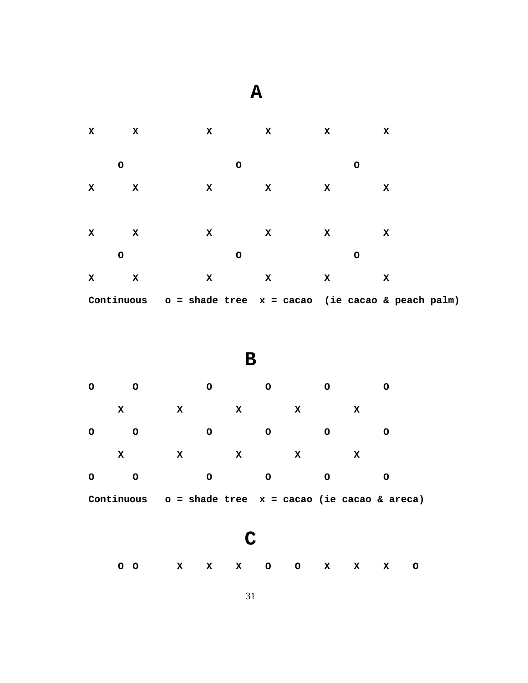| $\mathbf{x}$<br>x |              | X           |         | $\mathbf x$<br>$\mathbf{x}$                                   |              |   | x |  |
|-------------------|--------------|-------------|---------|---------------------------------------------------------------|--------------|---|---|--|
| $\mathsf O$       |              |             | $\circ$ |                                                               |              | O |   |  |
| x                 | X            | $\mathbf x$ |         | x                                                             | X            |   | x |  |
|                   |              |             |         |                                                               |              |   |   |  |
| $\mathbf x$       | $\mathbf{x}$ | x           |         | $\mathbf x$                                                   | $\mathbf{x}$ |   | x |  |
| $\mathsf O$       |              |             | $\circ$ |                                                               |              | O |   |  |
| x                 | x            | $\mathbf x$ |         | $\mathbf x$                                                   | $\mathbf x$  |   | x |  |
|                   |              |             |         | Continuous $o = shade tree x = cacao$ (ie cacao & peach palm) |              |   |   |  |

 **A**

**B**

| O       | റ          |   | റ |   |   |   |   |                                              |
|---------|------------|---|---|---|---|---|---|----------------------------------------------|
|         | x          | X | x |   | x |   | х |                                              |
| $\circ$ | O          |   | O | Ο |   | ∩ |   |                                              |
|         | х          | х | x |   | х |   | х |                                              |
| $\circ$ | O          |   | O |   |   |   |   |                                              |
|         | Continuous |   |   |   |   |   |   | $o = shade tree x = cacao (ie cacao & area)$ |

**C**

**O O X X X O O X X X O**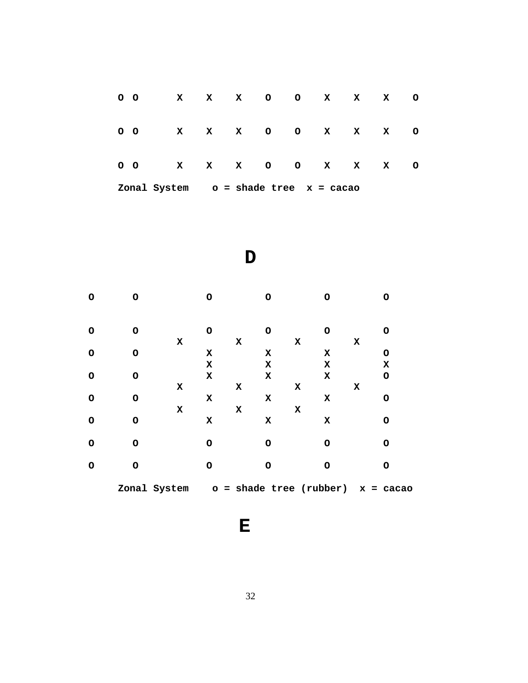| 0 <sub>o</sub>                            |             | X X X O O X X    |              |  |             |  |              | x | $\circ$ |
|-------------------------------------------|-------------|------------------|--------------|--|-------------|--|--------------|---|---------|
|                                           | $O$ $O$ $X$ |                  | $\mathbf{x}$ |  | $X$ 0 0 $X$ |  | $\mathbf{x}$ | x | $\circ$ |
|                                           |             | 00 X X X 0 0 X X |              |  |             |  |              | x | $\circ$ |
| Zonal System $o =$ shade tree $x =$ cacao |             |                  |              |  |             |  |              |   |         |

$$
\mathbf{D}
$$

| O       | O            |             | O           |             | O       |             | O                         |   | Ο          |
|---------|--------------|-------------|-------------|-------------|---------|-------------|---------------------------|---|------------|
| $\circ$ | $\circ$      |             | $\circ$     |             | $\circ$ |             | $\Omega$                  |   | O          |
|         |              | $\mathbf x$ |             | X           |         | X           |                           | x |            |
| $\circ$ | $\circ$      |             | X           |             | x       |             | X                         |   | O          |
|         |              |             | $\mathbf x$ |             | x       |             | X                         |   | X          |
| $\circ$ | O            |             | $\mathbf x$ |             | x       |             | $\mathbf x$               |   | $\circ$    |
|         |              | $\mathbf x$ |             | $\mathbf x$ |         | x           |                           | X |            |
| O       | O            |             | X           |             | x       |             | x                         |   | $\circ$    |
|         |              | $\mathbf x$ |             | x           |         | $\mathbf x$ |                           |   |            |
| $\circ$ | O            |             | x           |             | x       |             | $\mathbf x$               |   | O          |
|         |              |             |             |             |         |             |                           |   |            |
| $\circ$ | O            |             | O           |             | O       |             | O                         |   | O          |
| $\circ$ | O            |             | O           |             | O       |             | O                         |   | O          |
|         |              |             |             |             |         |             |                           |   |            |
|         | Zonal System |             |             |             |         |             | $o = shade tree (rubber)$ |   | $x = caca$ |

**E**

32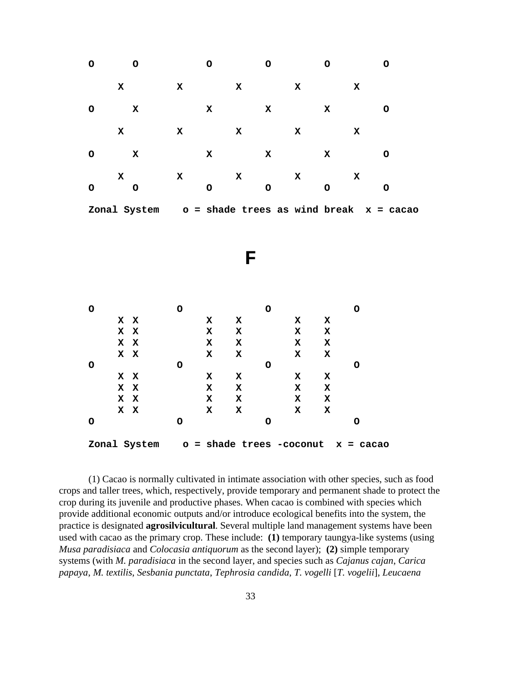| $\mathsf{o}$                                           | $\mathsf{o}$                                             |              | $\mathsf{o}$                  |           | $\mathsf{o}$ |             | $\mathsf{o}$     |             | $\mathsf{o}$ |
|--------------------------------------------------------|----------------------------------------------------------|--------------|-------------------------------|-----------|--------------|-------------|------------------|-------------|--------------|
|                                                        | $\mathbf x$                                              | $\mathbf x$  |                               | X         |              | $\mathbf x$ |                  | $\mathbf x$ |              |
| $\mathsf O$                                            | $\mathbf x$                                              |              | $\mathbf x$                   |           | X            |             | $\mathbf x$      |             | $\mathsf{o}$ |
|                                                        | $\mathbf x$                                              | $\mathbf x$  |                               | X         |              | $\mathbf x$ |                  | $\mathbf x$ |              |
| $\mathsf{o}$                                           | $\mathbf x$                                              |              | $\mathbf x$                   |           | X            |             | $\mathbf x$      |             | $\mathsf{o}$ |
| $\mathsf{o}$                                           | $\mathbf x$<br>$\mathsf O$                               | $\mathbf x$  | $\mathsf O$                   | X         | $\mathsf O$  | X           | $\mathsf{o}$     | X           | $\mathsf{o}$ |
|                                                        | Zonal System                                             |              | o = shade trees as wind break |           |              |             |                  |             | $x = caca$   |
|                                                        |                                                          |              |                               |           |              |             |                  |             |              |
|                                                        |                                                          |              |                               |           |              |             |                  |             |              |
|                                                        |                                                          |              |                               | ${\bf F}$ |              |             |                  |             |              |
|                                                        |                                                          |              |                               |           |              |             |                  |             |              |
|                                                        |                                                          |              |                               |           |              |             |                  |             |              |
| $\mathsf{o}$                                           |                                                          | $\mathsf{o}$ |                               |           | $\circ$      |             |                  | $\mathsf O$ |              |
|                                                        | $\mathbf x$<br>$\mathbf x$                               |              | $\mathbf x$                   | X         |              | $\mathbf x$ | $\mathbf x$      |             |              |
|                                                        | $\mathbf x$<br>$\mathbf x$<br>$\mathbf x$<br>$\mathbf x$ |              | X<br>$\mathbf x$              | X<br>X    |              | X<br>X      | $\mathbf x$<br>X |             |              |
|                                                        | $\mathbf x$<br>$\mathbf x$                               |              | X                             | X         |              | X           | X                |             |              |
| $\mathsf{o}$                                           |                                                          | $\mathsf{o}$ |                               |           | $\mathsf{o}$ |             |                  | O           |              |
|                                                        | $\mathbf x$<br>$\mathbf x$                               |              | $\mathbf x$                   | X         |              | X           | X                |             |              |
|                                                        | $\mathbf x$<br>$\mathbf x$                               |              | $\mathbf x$                   | X         |              | X           | $\mathbf x$      |             |              |
|                                                        | $\mathbf x$<br>$\mathbf x$                               |              | X                             | X         |              | X           | $\mathbf x$      |             |              |
|                                                        | $\mathbf x$<br>$\mathbf x$                               |              | X                             | X         |              | X           | X                |             |              |
| $\mathsf{o}$                                           |                                                          | $\circ$      |                               |           | $\mathsf{o}$ |             |                  | $\mathsf O$ |              |
| Zonal System<br>o = shade trees -coconut<br>$x = caca$ |                                                          |              |                               |           |              |             |                  |             |              |

(1) Cacao is normally cultivated in intimate association with other species, such as food crops and taller trees, which, respectively, provide temporary and permanent shade to protect the crop during its juvenile and productive phases. When cacao is combined with species which provide additional economic outputs and/or introduce ecological benefits into the system, the practice is designated **agrosilvicultural**. Several multiple land management systems have been used with cacao as the primary crop. These include: **(1)** temporary taungya-like systems (using *Musa paradisiaca* and *Colocasia antiquorum* as the second layer); **(2)** simple temporary systems (with *M. paradisiaca* in the second layer, and species such as *Cajanus cajan*, *Carica papaya*, *M. textilis*, *Sesbania punctata*, *Tephrosia candida*, *T. vogelli* [*T. vogelii*], *Leucaena*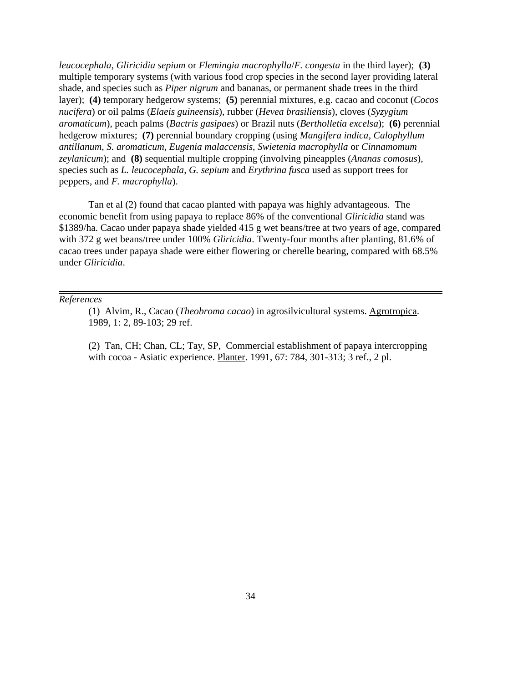*leucocephala*, *Gliricidia sepium* or *Flemingia macrophylla*/*F. congesta* in the third layer); **(3)** multiple temporary systems (with various food crop species in the second layer providing lateral shade, and species such as *Piper nigrum* and bananas, or permanent shade trees in the third layer); **(4)** temporary hedgerow systems; **(5)** perennial mixtures, e.g. cacao and coconut (*Cocos nucifera*) or oil palms (*Elaeis guineensis*), rubber (*Hevea brasiliensis*), cloves (*Syzygium aromaticum*), peach palms (*Bactris gasipaes*) or Brazil nuts (*Bertholletia excelsa*); **(6)** perennial hedgerow mixtures; **(7)** perennial boundary cropping (using *Mangifera indica*, *Calophyllum antillanum*, *S. aromaticum*, *Eugenia malaccensis*, *Swietenia macrophylla* or *Cinnamomum zeylanicum*); and **(8)** sequential multiple cropping (involving pineapples (*Ananas comosus*), species such as *L. leucocephala*, *G. sepium* and *Erythrina fusca* used as support trees for peppers, and *F. macrophylla*).

Tan et al (2) found that cacao planted with papaya was highly advantageous. The economic benefit from using papaya to replace 86% of the conventional *Gliricidia* stand was \$1389/ha. Cacao under papaya shade yielded 415 g wet beans/tree at two years of age, compared with 372 g wet beans/tree under 100% *Gliricidia*. Twenty-four months after planting, 81.6% of cacao trees under papaya shade were either flowering or cherelle bearing, compared with 68.5% under *Gliricidia*.

#### *References*

(1) Alvim, R., Cacao (*Theobroma cacao*) in agrosilvicultural systems. Agrotropica. 1989, 1: 2, 89-103; 29 ref.

(2) Tan, CH; Chan, CL; Tay, SP, Commercial establishment of papaya intercropping with cocoa - Asiatic experience. Planter. 1991, 67: 784, 301-313; 3 ref., 2 pl.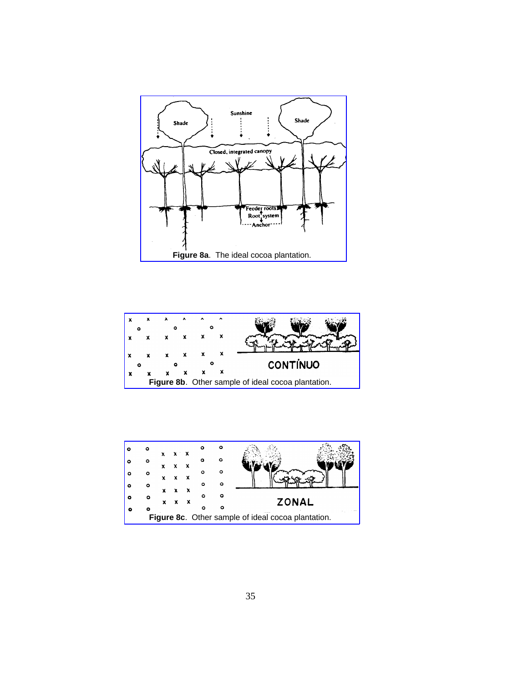



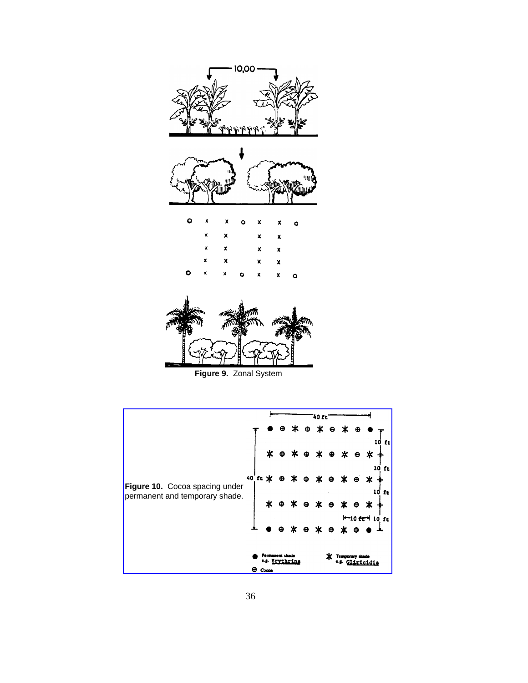

**Figure 9.** Zonal System

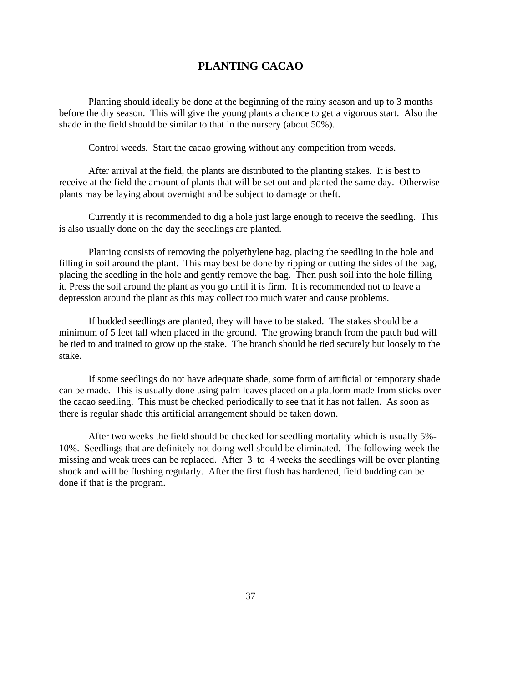## **PLANTING CACAO**

Planting should ideally be done at the beginning of the rainy season and up to 3 months before the dry season. This will give the young plants a chance to get a vigorous start. Also the shade in the field should be similar to that in the nursery (about 50%).

Control weeds. Start the cacao growing without any competition from weeds.

After arrival at the field, the plants are distributed to the planting stakes. It is best to receive at the field the amount of plants that will be set out and planted the same day. Otherwise plants may be laying about overnight and be subject to damage or theft.

Currently it is recommended to dig a hole just large enough to receive the seedling. This is also usually done on the day the seedlings are planted.

Planting consists of removing the polyethylene bag, placing the seedling in the hole and filling in soil around the plant. This may best be done by ripping or cutting the sides of the bag, placing the seedling in the hole and gently remove the bag. Then push soil into the hole filling it. Press the soil around the plant as you go until it is firm. It is recommended not to leave a depression around the plant as this may collect too much water and cause problems.

If budded seedlings are planted, they will have to be staked. The stakes should be a minimum of 5 feet tall when placed in the ground. The growing branch from the patch bud will be tied to and trained to grow up the stake. The branch should be tied securely but loosely to the stake.

If some seedlings do not have adequate shade, some form of artificial or temporary shade can be made. This is usually done using palm leaves placed on a platform made from sticks over the cacao seedling. This must be checked periodically to see that it has not fallen. As soon as there is regular shade this artificial arrangement should be taken down.

After two weeks the field should be checked for seedling mortality which is usually 5%- 10%. Seedlings that are definitely not doing well should be eliminated. The following week the missing and weak trees can be replaced. After 3 to 4 weeks the seedlings will be over planting shock and will be flushing regularly. After the first flush has hardened, field budding can be done if that is the program.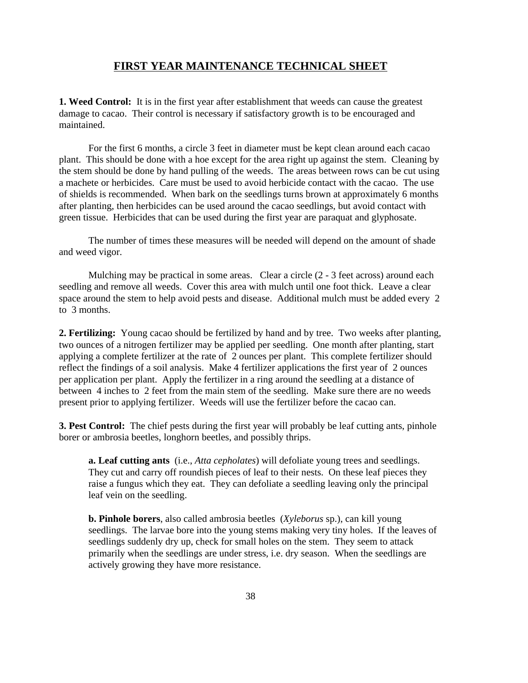#### **FIRST YEAR MAINTENANCE TECHNICAL SHEET**

**1. Weed Control:** It is in the first year after establishment that weeds can cause the greatest damage to cacao. Their control is necessary if satisfactory growth is to be encouraged and maintained.

For the first 6 months, a circle 3 feet in diameter must be kept clean around each cacao plant. This should be done with a hoe except for the area right up against the stem. Cleaning by the stem should be done by hand pulling of the weeds. The areas between rows can be cut using a machete or herbicides. Care must be used to avoid herbicide contact with the cacao. The use of shields is recommended. When bark on the seedlings turns brown at approximately 6 months after planting, then herbicides can be used around the cacao seedlings, but avoid contact with green tissue. Herbicides that can be used during the first year are paraquat and glyphosate.

The number of times these measures will be needed will depend on the amount of shade and weed vigor.

Mulching may be practical in some areas. Clear a circle (2 - 3 feet across) around each seedling and remove all weeds. Cover this area with mulch until one foot thick. Leave a clear space around the stem to help avoid pests and disease. Additional mulch must be added every 2 to 3 months.

**2. Fertilizing:** Young cacao should be fertilized by hand and by tree. Two weeks after planting, two ounces of a nitrogen fertilizer may be applied per seedling. One month after planting, start applying a complete fertilizer at the rate of 2 ounces per plant. This complete fertilizer should reflect the findings of a soil analysis. Make 4 fertilizer applications the first year of 2 ounces per application per plant. Apply the fertilizer in a ring around the seedling at a distance of between 4 inches to 2 feet from the main stem of the seedling. Make sure there are no weeds present prior to applying fertilizer. Weeds will use the fertilizer before the cacao can.

**3. Pest Control:** The chief pests during the first year will probably be leaf cutting ants, pinhole borer or ambrosia beetles, longhorn beetles, and possibly thrips.

**a. Leaf cutting ants** (i.e., *Atta cepholates*) will defoliate young trees and seedlings. They cut and carry off roundish pieces of leaf to their nests. On these leaf pieces they raise a fungus which they eat. They can defoliate a seedling leaving only the principal leaf vein on the seedling.

**b. Pinhole borers**, also called ambrosia beetles (*Xyleborus* sp.), can kill young seedlings. The larvae bore into the young stems making very tiny holes. If the leaves of seedlings suddenly dry up, check for small holes on the stem. They seem to attack primarily when the seedlings are under stress, i.e. dry season. When the seedlings are actively growing they have more resistance.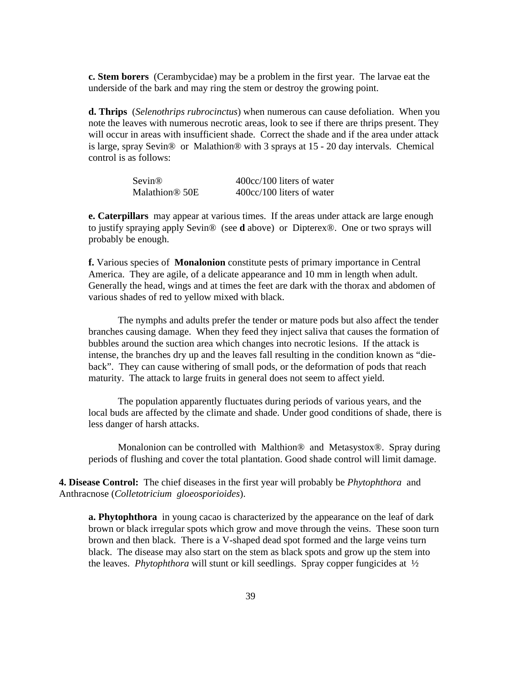**c. Stem borers** (Cerambycidae) may be a problem in the first year. The larvae eat the underside of the bark and may ring the stem or destroy the growing point.

**d. Thrips** (*Selenothrips rubrocinctus*) when numerous can cause defoliation. When you note the leaves with numerous necrotic areas, look to see if there are thrips present. They will occur in areas with insufficient shade. Correct the shade and if the area under attack is large, spray Sevin® or Malathion® with 3 sprays at 15 - 20 day intervals. Chemical control is as follows:

| <b>Sevin®</b>              | 400cc/100 liters of water |
|----------------------------|---------------------------|
| Malathion <sup>®</sup> 50E | 400cc/100 liters of water |

**e. Caterpillars** may appear at various times. If the areas under attack are large enough to justify spraying apply Sevin® (see **d** above) or Dipterex®. One or two sprays will probably be enough.

**f.** Various species of **Monalonion** constitute pests of primary importance in Central America. They are agile, of a delicate appearance and 10 mm in length when adult. Generally the head, wings and at times the feet are dark with the thorax and abdomen of various shades of red to yellow mixed with black.

The nymphs and adults prefer the tender or mature pods but also affect the tender branches causing damage. When they feed they inject saliva that causes the formation of bubbles around the suction area which changes into necrotic lesions. If the attack is intense, the branches dry up and the leaves fall resulting in the condition known as "dieback". They can cause withering of small pods, or the deformation of pods that reach maturity. The attack to large fruits in general does not seem to affect yield.

The population apparently fluctuates during periods of various years, and the local buds are affected by the climate and shade. Under good conditions of shade, there is less danger of harsh attacks.

Monalonion can be controlled with Malthion® and Metasystox®. Spray during periods of flushing and cover the total plantation. Good shade control will limit damage.

**4. Disease Control:** The chief diseases in the first year will probably be *Phytophthora* and Anthracnose (*Colletotricium gloeosporioides*).

**a. Phytophthora** in young cacao is characterized by the appearance on the leaf of dark brown or black irregular spots which grow and move through the veins. These soon turn brown and then black. There is a V-shaped dead spot formed and the large veins turn black. The disease may also start on the stem as black spots and grow up the stem into the leaves. *Phytophthora* will stunt or kill seedlings. Spray copper fungicides at ½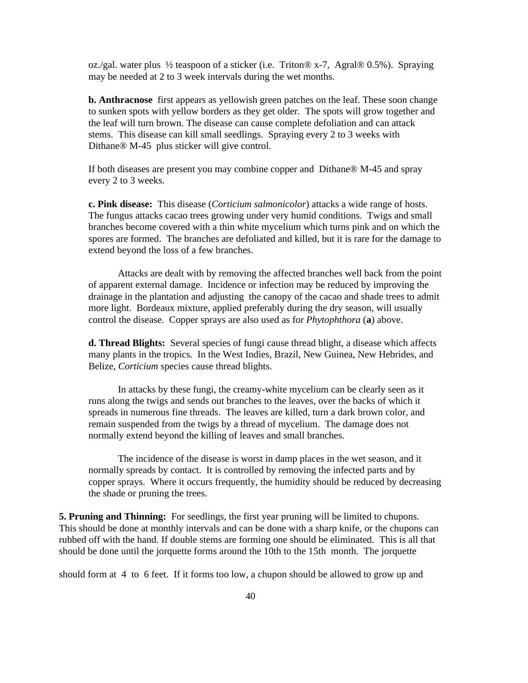oz./gal. water plus ½ teaspoon of a sticker (i.e. Triton® x-7, Agral® 0.5%). Spraying may be needed at 2 to 3 week intervals during the wet months.

**b. Anthracnose** first appears as yellowish green patches on the leaf. These soon change to sunken spots with yellow borders as they get older. The spots will grow together and the leaf will turn brown. The disease can cause complete defoliation and can attack stems. This disease can kill small seedlings. Spraying every 2 to 3 weeks with Dithane® M-45 plus sticker will give control.

If both diseases are present you may combine copper and Dithane® M-45 and spray every 2 to 3 weeks.

**c. Pink disease:** This disease (*Corticium salmonicolor*) attacks a wide range of hosts. The fungus attacks cacao trees growing under very humid conditions. Twigs and small branches become covered with a thin white mycelium which turns pink and on which the spores are formed. The branches are defoliated and killed, but it is rare for the damage to extend beyond the loss of a few branches.

Attacks are dealt with by removing the affected branches well back from the point of apparent external damage. Incidence or infection may be reduced by improving the drainage in the plantation and adjusting the canopy of the cacao and shade trees to admit more light. Bordeaux mixture, applied preferably during the dry season, will usually control the disease. Copper sprays are also used as for *Phytophthora* (**a**) above.

**d. Thread Blights:** Several species of fungi cause thread blight, a disease which affects many plants in the tropics. In the West Indies, Brazil, New Guinea, New Hebrides, and Belize, *Corticium* species cause thread blights.

In attacks by these fungi, the creamy-white mycelium can be clearly seen as it runs along the twigs and sends out branches to the leaves, over the backs of which it spreads in numerous fine threads. The leaves are killed, turn a dark brown color, and remain suspended from the twigs by a thread of mycelium. The damage does not normally extend beyond the killing of leaves and small branches.

The incidence of the disease is worst in damp places in the wet season, and it normally spreads by contact. It is controlled by removing the infected parts and by copper sprays. Where it occurs frequently, the humidity should be reduced by decreasing the shade or pruning the trees.

**5. Pruning and Thinning:** For seedlings, the first year pruning will be limited to chupons. This should be done at monthly intervals and can be done with a sharp knife, or the chupons can rubbed off with the hand. If double stems are forming one should be eliminated. This is all that should be done until the jorquette forms around the 10th to the 15th month. The jorquette

should form at 4 to 6 feet. If it forms too low, a chupon should be allowed to grow up and